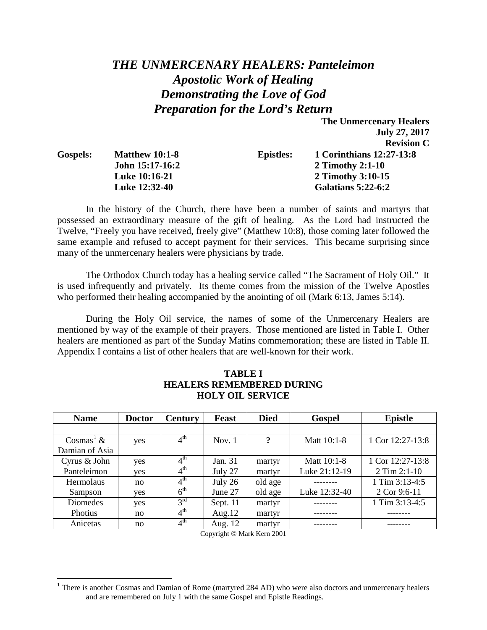# *THE UNMERCENARY HEALERS: Panteleimon Apostolic Work of Healing Demonstrating the Love of God Preparation for the Lord's Return*

**The Unmercenary Healers** 

**July 27, 2017**

|                 |                       |                  | <b>Revision C</b>         |
|-----------------|-----------------------|------------------|---------------------------|
| <b>Gospels:</b> | <b>Matthew 10:1-8</b> | <b>Epistles:</b> | 1 Corinthians 12:27-13:8  |
|                 | John 15:17-16:2       |                  | 2 Timothy 2:1-10          |
|                 | <b>Luke 10:16-21</b>  |                  | 2 Timothy 3:10-15         |
|                 | Luke 12:32-40         |                  | <b>Galatians 5:22-6:2</b> |

In the history of the Church, there have been a number of saints and martyrs that possessed an extraordinary measure of the gift of healing. As the Lord had instructed the Twelve, "Freely you have received, freely give" (Matthew 10:8), those coming later followed the same example and refused to accept payment for their services. This became surprising since many of the unmercenary healers were physicians by trade.

The Orthodox Church today has a healing service called "The Sacrament of Holy Oil." It is used infrequently and privately. Its theme comes from the mission of the Twelve Apostles who performed their healing accompanied by the anointing of oil (Mark 6:13, James 5:14).

During the Holy Oil service, the names of some of the Unmercenary Healers are mentioned by way of the example of their prayers. Those mentioned are listed in Table I. Other healers are mentioned as part of the Sunday Matins commemoration; these are listed in Table II. Appendix I contains a list of other healers that are well-known for their work.

| <b>Name</b>           | <b>Doctor</b> | <b>Century</b>             | <b>Feast</b> | <b>Died</b> | <b>Gospel</b> | <b>Epistle</b>   |
|-----------------------|---------------|----------------------------|--------------|-------------|---------------|------------------|
|                       |               |                            |              |             |               |                  |
| Cosmas <sup>1</sup> & | yes           | $4^{\text{th}}$            | Nov. $1$     | ?           | Matt 10:1-8   | 1 Cor 12:27-13:8 |
| Damian of Asia        |               |                            |              |             |               |                  |
| Cyrus & John          | yes           | 4 <sup>th</sup>            | Jan. 31      | martyr      | Matt 10:1-8   | 1 Cor 12:27-13:8 |
| Panteleimon           | yes           | $4^{\text{th}}$            | July 27      | martyr      | Luke 21:12-19 | $2$ Tim $2:1-10$ |
| <b>Hermolaus</b>      | no            | $4^{\text{th}}$            | July $26$    | old age     |               | 1 Tim $3:13-4:5$ |
| Sampson               | yes           | $6^{\text{th}}$            | June 27      | old age     | Luke 12:32-40 | 2 Cor 9:6-11     |
| Diomedes              | yes           | 3 <sup>rd</sup>            | Sept. $11$   | martyr      |               | 1 Tim 3:13-4:5   |
| Photius               | no            | $\overline{4}^{\text{th}}$ | Aug. $12$    | martyr      |               |                  |
| Anicetas              | no            | $4^{\rm th}$               | Aug. 12      | martyr      |               |                  |

## **TABLE I HEALERS REMEMBERED DURING HOLY OIL SERVICE**

Copyright  $\circ$  Mark Kern 2001

<span id="page-0-0"></span> $<sup>1</sup>$  There is another Cosmas and Damian of Rome (martyred 284 AD) who were also doctors and unmercenary healers</sup> and are remembered on July 1 with the same Gospel and Epistle Readings.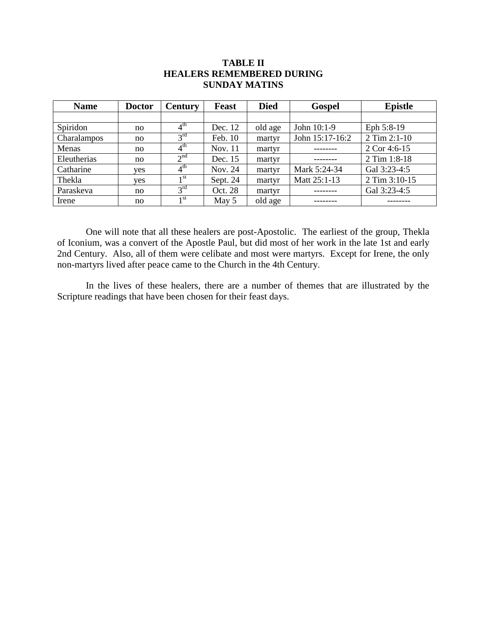| <b>Name</b> | <b>Doctor</b> | <b>Century</b>  | Feast    | <b>Died</b> | <b>Gospel</b>   | <b>Epistle</b> |
|-------------|---------------|-----------------|----------|-------------|-----------------|----------------|
|             |               |                 |          |             |                 |                |
| Spiridon    | no            | $4^{\text{th}}$ | Dec. 12  | old age     | John 10:1-9     | Eph 5:8-19     |
| Charalampos | no            | $3^{\text{rd}}$ | Feb. 10  | martyr      | John 15:17-16:2 | 2 Tim 2:1-10   |
| Menas       | no            | $4^{\text{th}}$ | Nov. 11  | martyr      |                 | 2 Cor 4:6-15   |
| Eleutherias | no            | 2 <sup>nd</sup> | Dec. 15  | martyr      |                 | 2 Tim 1:8-18   |
| Catharine   | yes           | $4^{\text{th}}$ | Nov. 24  | martyr      | Mark 5:24-34    | Gal 3:23-4:5   |
| Thekla      | yes           | 1 <sup>st</sup> | Sept. 24 | martyr      | Matt 25:1-13    | 2 Tim 3:10-15  |
| Paraskeva   | no            | 3 <sup>rd</sup> | Oct. 28  | martyr      |                 | Gal 3:23-4:5   |
| Irene       | no            | 1 <sup>st</sup> | May $5$  | old age     |                 |                |

## **TABLE II HEALERS REMEMBERED DURING SUNDAY MATINS**

One will note that all these healers are post-Apostolic. The earliest of the group, Thekla of Iconium, was a convert of the Apostle Paul, but did most of her work in the late 1st and early 2nd Century. Also, all of them were celibate and most were martyrs. Except for Irene, the only non-martyrs lived after peace came to the Church in the 4th Century.

In the lives of these healers, there are a number of themes that are illustrated by the Scripture readings that have been chosen for their feast days.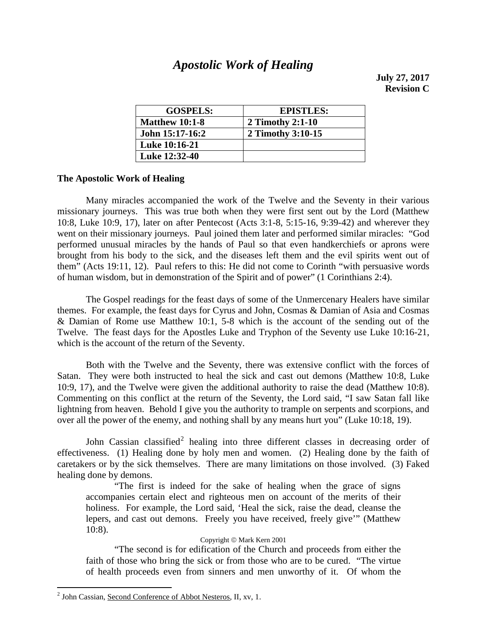## *Apostolic Work of Healing*

**July 27, 2017 Revision C**

| <b>GOSPELS:</b>       | <b>EPISTLES:</b>  |
|-----------------------|-------------------|
| <b>Matthew 10:1-8</b> | 2 Timothy 2:1-10  |
| John 15:17-16:2       | 2 Timothy 3:10-15 |
| Luke 10:16-21         |                   |
| Luke 12:32-40         |                   |

## **The Apostolic Work of Healing**

Many miracles accompanied the work of the Twelve and the Seventy in their various missionary journeys. This was true both when they were first sent out by the Lord (Matthew 10:8, Luke 10:9, 17), later on after Pentecost (Acts 3:1-8, 5:15-16, 9:39-42) and wherever they went on their missionary journeys. Paul joined them later and performed similar miracles: "God performed unusual miracles by the hands of Paul so that even handkerchiefs or aprons were brought from his body to the sick, and the diseases left them and the evil spirits went out of them" (Acts 19:11, 12). Paul refers to this: He did not come to Corinth "with persuasive words of human wisdom, but in demonstration of the Spirit and of power" (1 Corinthians 2:4).

The Gospel readings for the feast days of some of the Unmercenary Healers have similar themes. For example, the feast days for Cyrus and John, Cosmas & Damian of Asia and Cosmas & Damian of Rome use Matthew 10:1, 5-8 which is the account of the sending out of the Twelve. The feast days for the Apostles Luke and Tryphon of the Seventy use Luke 10:16-21, which is the account of the return of the Seventy.

Both with the Twelve and the Seventy, there was extensive conflict with the forces of Satan. They were both instructed to heal the sick and cast out demons (Matthew 10:8, Luke 10:9, 17), and the Twelve were given the additional authority to raise the dead (Matthew 10:8). Commenting on this conflict at the return of the Seventy, the Lord said, "I saw Satan fall like lightning from heaven. Behold I give you the authority to trample on serpents and scorpions, and over all the power of the enemy, and nothing shall by any means hurt you" (Luke 10:18, 19).

John Cassian classified<sup>[2](#page-2-0)</sup> healing into three different classes in decreasing order of effectiveness. (1) Healing done by holy men and women. (2) Healing done by the faith of caretakers or by the sick themselves. There are many limitations on those involved. (3) Faked healing done by demons.

"The first is indeed for the sake of healing when the grace of signs accompanies certain elect and righteous men on account of the merits of their holiness. For example, the Lord said, 'Heal the sick, raise the dead, cleanse the lepers, and cast out demons. Freely you have received, freely give'" (Matthew 10:8).

### Copyright © Mark Kern 2001

"The second is for edification of the Church and proceeds from either the faith of those who bring the sick or from those who are to be cured. "The virtue of health proceeds even from sinners and men unworthy of it. Of whom the

<span id="page-2-0"></span> <sup>2</sup> John Cassian, Second Conference of Abbot Nesteros, II, xv, 1.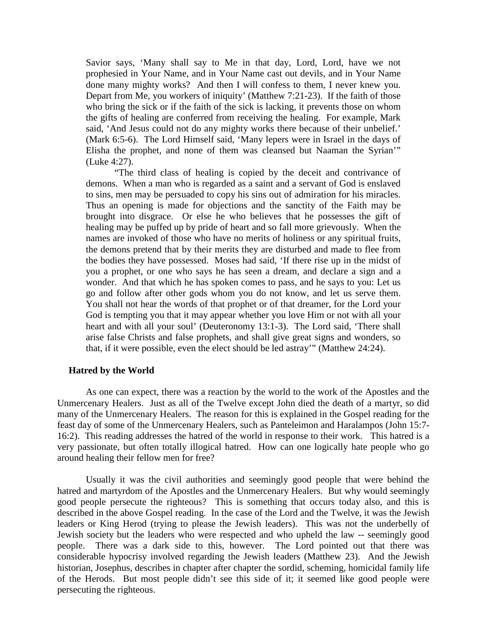Savior says, 'Many shall say to Me in that day, Lord, Lord, have we not prophesied in Your Name, and in Your Name cast out devils, and in Your Name done many mighty works? And then I will confess to them, I never knew you. Depart from Me, you workers of iniquity' (Matthew 7:21-23). If the faith of those who bring the sick or if the faith of the sick is lacking, it prevents those on whom the gifts of healing are conferred from receiving the healing. For example, Mark said, 'And Jesus could not do any mighty works there because of their unbelief.' (Mark 6:5-6). The Lord Himself said, 'Many lepers were in Israel in the days of Elisha the prophet, and none of them was cleansed but Naaman the Syrian'" (Luke 4:27).

"The third class of healing is copied by the deceit and contrivance of demons. When a man who is regarded as a saint and a servant of God is enslaved to sins, men may be persuaded to copy his sins out of admiration for his miracles. Thus an opening is made for objections and the sanctity of the Faith may be brought into disgrace. Or else he who believes that he possesses the gift of healing may be puffed up by pride of heart and so fall more grievously. When the names are invoked of those who have no merits of holiness or any spiritual fruits, the demons pretend that by their merits they are disturbed and made to flee from the bodies they have possessed. Moses had said, 'If there rise up in the midst of you a prophet, or one who says he has seen a dream, and declare a sign and a wonder. And that which he has spoken comes to pass, and he says to you: Let us go and follow after other gods whom you do not know, and let us serve them. You shall not hear the words of that prophet or of that dreamer, for the Lord your God is tempting you that it may appear whether you love Him or not with all your heart and with all your soul' (Deuteronomy 13:1-3). The Lord said, 'There shall arise false Christs and false prophets, and shall give great signs and wonders, so that, if it were possible, even the elect should be led astray'" (Matthew 24:24).

### **Hatred by the World**

As one can expect, there was a reaction by the world to the work of the Apostles and the Unmercenary Healers. Just as all of the Twelve except John died the death of a martyr, so did many of the Unmercenary Healers. The reason for this is explained in the Gospel reading for the feast day of some of the Unmercenary Healers, such as Panteleimon and Haralampos (John 15:7- 16:2). This reading addresses the hatred of the world in response to their work. This hatred is a very passionate, but often totally illogical hatred. How can one logically hate people who go around healing their fellow men for free?

Usually it was the civil authorities and seemingly good people that were behind the hatred and martyrdom of the Apostles and the Unmercenary Healers. But why would seemingly good people persecute the righteous? This is something that occurs today also, and this is described in the above Gospel reading. In the case of the Lord and the Twelve, it was the Jewish leaders or King Herod (trying to please the Jewish leaders). This was not the underbelly of Jewish society but the leaders who were respected and who upheld the law -- seemingly good people. There was a dark side to this, however. The Lord pointed out that there was considerable hypocrisy involved regarding the Jewish leaders (Matthew 23). And the Jewish historian, Josephus, describes in chapter after chapter the sordid, scheming, homicidal family life of the Herods. But most people didn't see this side of it; it seemed like good people were persecuting the righteous.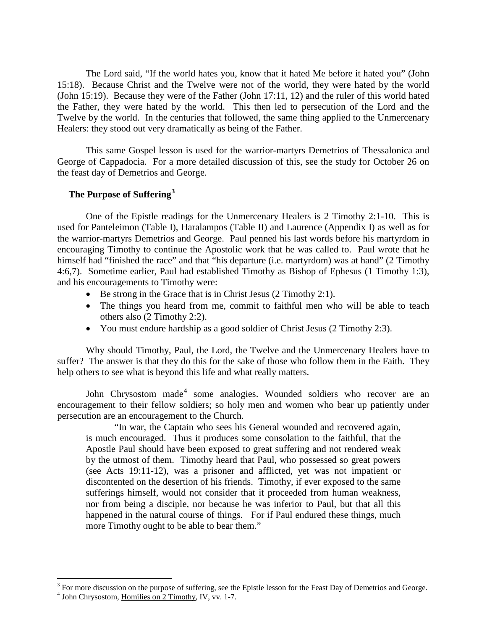The Lord said, "If the world hates you, know that it hated Me before it hated you" (John 15:18). Because Christ and the Twelve were not of the world, they were hated by the world (John 15:19). Because they were of the Father (John 17:11, 12) and the ruler of this world hated the Father, they were hated by the world. This then led to persecution of the Lord and the Twelve by the world. In the centuries that followed, the same thing applied to the Unmercenary Healers: they stood out very dramatically as being of the Father.

This same Gospel lesson is used for the warrior-martyrs Demetrios of Thessalonica and George of Cappadocia. For a more detailed discussion of this, see the study for October 26 on the feast day of Demetrios and George.

## **The Purpose of Suffering[3](#page-4-0)**

One of the Epistle readings for the Unmercenary Healers is 2 Timothy 2:1-10. This is used for Panteleimon (Table I), Haralampos (Table II) and Laurence (Appendix I) as well as for the warrior-martyrs Demetrios and George. Paul penned his last words before his martyrdom in encouraging Timothy to continue the Apostolic work that he was called to. Paul wrote that he himself had "finished the race" and that "his departure (i.e. martyrdom) was at hand" (2 Timothy 4:6,7). Sometime earlier, Paul had established Timothy as Bishop of Ephesus (1 Timothy 1:3), and his encouragements to Timothy were:

- Be strong in the Grace that is in Christ Jesus (2 Timothy 2:1).
- The things you heard from me, commit to faithful men who will be able to teach others also (2 Timothy 2:2).
- You must endure hardship as a good soldier of Christ Jesus (2 Timothy 2:3).

Why should Timothy, Paul, the Lord, the Twelve and the Unmercenary Healers have to suffer? The answer is that they do this for the sake of those who follow them in the Faith. They help others to see what is beyond this life and what really matters.

John Chrysostom made<sup>[4](#page-4-1)</sup> some analogies. Wounded soldiers who recover are an encouragement to their fellow soldiers; so holy men and women who bear up patiently under persecution are an encouragement to the Church.

"In war, the Captain who sees his General wounded and recovered again, is much encouraged. Thus it produces some consolation to the faithful, that the Apostle Paul should have been exposed to great suffering and not rendered weak by the utmost of them. Timothy heard that Paul, who possessed so great powers (see Acts 19:11-12), was a prisoner and afflicted, yet was not impatient or discontented on the desertion of his friends. Timothy, if ever exposed to the same sufferings himself, would not consider that it proceeded from human weakness, nor from being a disciple, nor because he was inferior to Paul, but that all this happened in the natural course of things. For if Paul endured these things, much more Timothy ought to be able to bear them."

<span id="page-4-0"></span> $3$  For more discussion on the purpose of suffering, see the Epistle lesson for the Feast Day of Demetrios and George.

<span id="page-4-1"></span><sup>&</sup>lt;sup>4</sup> John Chrysostom, Homilies on 2 Timothy, IV, vv. 1-7.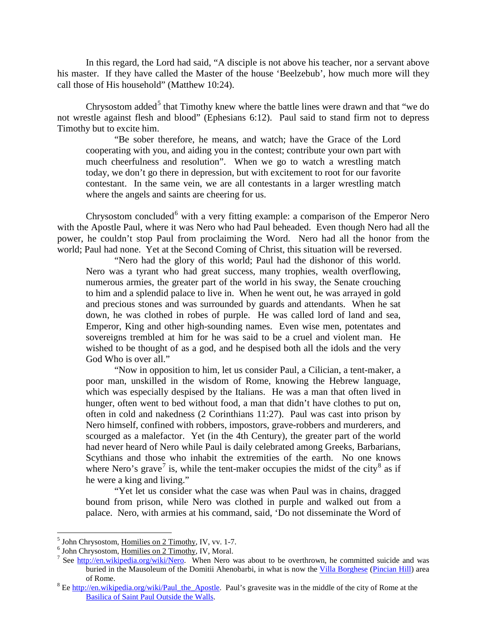In this regard, the Lord had said, "A disciple is not above his teacher, nor a servant above his master. If they have called the Master of the house 'Beelzebub', how much more will they call those of His household" (Matthew 10:24).

Chrysostom added<sup>[5](#page-5-0)</sup> that Timothy knew where the battle lines were drawn and that "we do not wrestle against flesh and blood" (Ephesians 6:12). Paul said to stand firm not to depress Timothy but to excite him.

"Be sober therefore, he means, and watch; have the Grace of the Lord cooperating with you, and aiding you in the contest; contribute your own part with much cheerfulness and resolution". When we go to watch a wrestling match today, we don't go there in depression, but with excitement to root for our favorite contestant. In the same vein, we are all contestants in a larger wrestling match where the angels and saints are cheering for us.

Chrysostom concluded<sup>[6](#page-5-1)</sup> with a very fitting example: a comparison of the Emperor Nero with the Apostle Paul, where it was Nero who had Paul beheaded. Even though Nero had all the power, he couldn't stop Paul from proclaiming the Word. Nero had all the honor from the world; Paul had none. Yet at the Second Coming of Christ, this situation will be reversed.

"Nero had the glory of this world; Paul had the dishonor of this world. Nero was a tyrant who had great success, many trophies, wealth overflowing, numerous armies, the greater part of the world in his sway, the Senate crouching to him and a splendid palace to live in. When he went out, he was arrayed in gold and precious stones and was surrounded by guards and attendants. When he sat down, he was clothed in robes of purple. He was called lord of land and sea, Emperor, King and other high-sounding names. Even wise men, potentates and sovereigns trembled at him for he was said to be a cruel and violent man. He wished to be thought of as a god, and he despised both all the idols and the very God Who is over all."

"Now in opposition to him, let us consider Paul, a Cilician, a tent-maker, a poor man, unskilled in the wisdom of Rome, knowing the Hebrew language, which was especially despised by the Italians. He was a man that often lived in hunger, often went to bed without food, a man that didn't have clothes to put on, often in cold and nakedness (2 Corinthians 11:27). Paul was cast into prison by Nero himself, confined with robbers, impostors, grave-robbers and murderers, and scourged as a malefactor. Yet (in the 4th Century), the greater part of the world had never heard of Nero while Paul is daily celebrated among Greeks, Barbarians, Scythians and those who inhabit the extremities of the earth. No one knows where Nero's grave<sup>[7](#page-5-2)</sup> is, while the tent-maker occupies the midst of the city<sup>[8](#page-5-3)</sup> as if he were a king and living."

"Yet let us consider what the case was when Paul was in chains, dragged bound from prison, while Nero was clothed in purple and walked out from a palace. Nero, with armies at his command, said, 'Do not disseminate the Word of

<span id="page-5-2"></span><span id="page-5-1"></span>

<span id="page-5-0"></span><sup>&</sup>lt;sup>5</sup> John Chrysostom, <u>Homilies on 2 Timothy</u>, IV, vv. 1-7.<br>
<sup>6</sup> John Chrysostom, <u>Homilies on 2 Timothy</u>, IV, Moral.<br>
<sup>7</sup> See <u>http://en.wikipedia.org/wiki/Nero</u>. When Nero was about to be overthrown, he committed suicide buried in the Mausoleum of the Domitii Ahenobarbi, in what is now the *Villa Borghese* (*Pincian Hill*) area of Rome.

<span id="page-5-3"></span><sup>&</sup>lt;sup>8</sup> Ee [http://en.wikipedia.org/wiki/Paul\\_the\\_Apostle.](http://en.wikipedia.org/wiki/Paul_the_Apostle) Paul's gravesite was in the middle of the city of Rome at the [Basilica of Saint Paul Outside the Walls.](http://en.wikipedia.org/wiki/Basilica_of_Saint_Paul_Outside_the_Walls)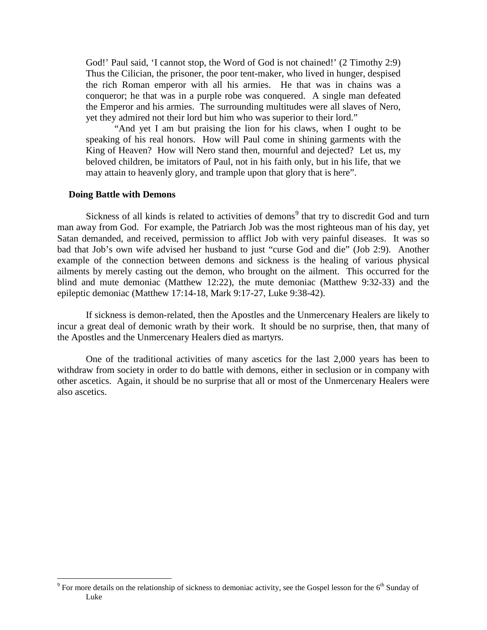God!' Paul said, 'I cannot stop, the Word of God is not chained!' (2 Timothy 2:9) Thus the Cilician, the prisoner, the poor tent-maker, who lived in hunger, despised the rich Roman emperor with all his armies. He that was in chains was a conqueror; he that was in a purple robe was conquered. A single man defeated the Emperor and his armies. The surrounding multitudes were all slaves of Nero, yet they admired not their lord but him who was superior to their lord."

"And yet I am but praising the lion for his claws, when I ought to be speaking of his real honors. How will Paul come in shining garments with the King of Heaven? How will Nero stand then, mournful and dejected? Let us, my beloved children, be imitators of Paul, not in his faith only, but in his life, that we may attain to heavenly glory, and trample upon that glory that is here".

### **Doing Battle with Demons**

Sickness of all kinds is related to activities of demons<sup>[9](#page-6-0)</sup> that try to discredit God and turn man away from God. For example, the Patriarch Job was the most righteous man of his day, yet Satan demanded, and received, permission to afflict Job with very painful diseases. It was so bad that Job's own wife advised her husband to just "curse God and die" (Job 2:9). Another example of the connection between demons and sickness is the healing of various physical ailments by merely casting out the demon, who brought on the ailment. This occurred for the blind and mute demoniac (Matthew 12:22), the mute demoniac (Matthew 9:32-33) and the epileptic demoniac (Matthew 17:14-18, Mark 9:17-27, Luke 9:38-42).

If sickness is demon-related, then the Apostles and the Unmercenary Healers are likely to incur a great deal of demonic wrath by their work. It should be no surprise, then, that many of the Apostles and the Unmercenary Healers died as martyrs.

One of the traditional activities of many ascetics for the last 2,000 years has been to withdraw from society in order to do battle with demons, either in seclusion or in company with other ascetics. Again, it should be no surprise that all or most of the Unmercenary Healers were also ascetics.

<span id="page-6-0"></span> $9^9$  For more details on the relationship of sickness to demoniac activity, see the Gospel lesson for the 6<sup>th</sup> Sunday of Luke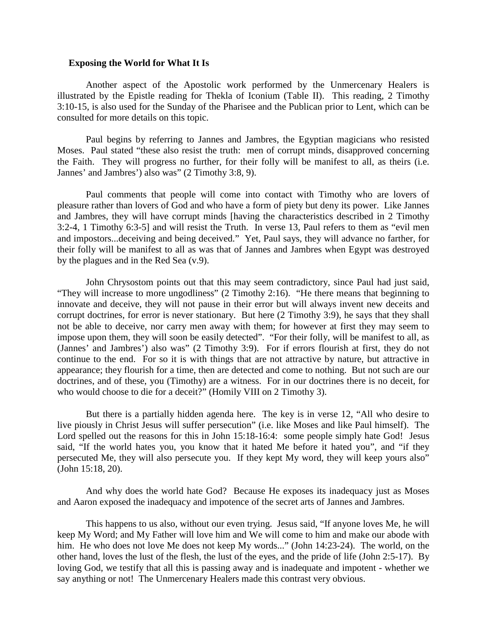#### **Exposing the World for What It Is**

Another aspect of the Apostolic work performed by the Unmercenary Healers is illustrated by the Epistle reading for Thekla of Iconium (Table II). This reading, 2 Timothy 3:10-15, is also used for the Sunday of the Pharisee and the Publican prior to Lent, which can be consulted for more details on this topic.

Paul begins by referring to Jannes and Jambres, the Egyptian magicians who resisted Moses. Paul stated "these also resist the truth: men of corrupt minds, disapproved concerning the Faith. They will progress no further, for their folly will be manifest to all, as theirs (i.e. Jannes' and Jambres') also was" (2 Timothy 3:8, 9).

Paul comments that people will come into contact with Timothy who are lovers of pleasure rather than lovers of God and who have a form of piety but deny its power. Like Jannes and Jambres, they will have corrupt minds [having the characteristics described in 2 Timothy 3:2-4, 1 Timothy 6:3-5] and will resist the Truth. In verse 13, Paul refers to them as "evil men and impostors...deceiving and being deceived." Yet, Paul says, they will advance no farther, for their folly will be manifest to all as was that of Jannes and Jambres when Egypt was destroyed by the plagues and in the Red Sea (v.9).

John Chrysostom points out that this may seem contradictory, since Paul had just said, "They will increase to more ungodliness" (2 Timothy 2:16). "He there means that beginning to innovate and deceive, they will not pause in their error but will always invent new deceits and corrupt doctrines, for error is never stationary. But here (2 Timothy 3:9), he says that they shall not be able to deceive, nor carry men away with them; for however at first they may seem to impose upon them, they will soon be easily detected". "For their folly, will be manifest to all, as (Jannes' and Jambres') also was" (2 Timothy 3:9). For if errors flourish at first, they do not continue to the end. For so it is with things that are not attractive by nature, but attractive in appearance; they flourish for a time, then are detected and come to nothing. But not such are our doctrines, and of these, you (Timothy) are a witness. For in our doctrines there is no deceit, for who would choose to die for a deceit?" (Homily VIII on 2 Timothy 3).

But there is a partially hidden agenda here. The key is in verse 12, "All who desire to live piously in Christ Jesus will suffer persecution" (i.e. like Moses and like Paul himself). The Lord spelled out the reasons for this in John 15:18-16:4: some people simply hate God! Jesus said, "If the world hates you, you know that it hated Me before it hated you", and "if they persecuted Me, they will also persecute you. If they kept My word, they will keep yours also" (John 15:18, 20).

And why does the world hate God? Because He exposes its inadequacy just as Moses and Aaron exposed the inadequacy and impotence of the secret arts of Jannes and Jambres.

This happens to us also, without our even trying. Jesus said, "If anyone loves Me, he will keep My Word; and My Father will love him and We will come to him and make our abode with him. He who does not love Me does not keep My words..." (John 14:23-24). The world, on the other hand, loves the lust of the flesh, the lust of the eyes, and the pride of life (John 2:5-17). By loving God, we testify that all this is passing away and is inadequate and impotent - whether we say anything or not! The Unmercenary Healers made this contrast very obvious.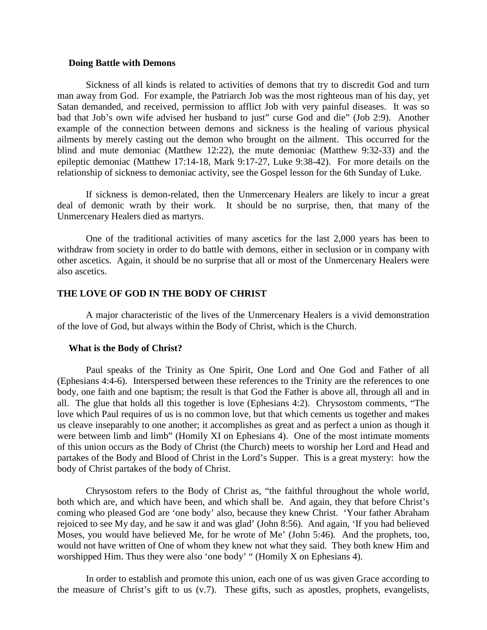### **Doing Battle with Demons**

Sickness of all kinds is related to activities of demons that try to discredit God and turn man away from God. For example, the Patriarch Job was the most righteous man of his day, yet Satan demanded, and received, permission to afflict Job with very painful diseases. It was so bad that Job's own wife advised her husband to just" curse God and die" (Job 2:9). Another example of the connection between demons and sickness is the healing of various physical ailments by merely casting out the demon who brought on the ailment. This occurred for the blind and mute demoniac (Matthew 12:22), the mute demoniac (Matthew 9:32-33) and the epileptic demoniac (Matthew 17:14-18, Mark 9:17-27, Luke 9:38-42). For more details on the relationship of sickness to demoniac activity, see the Gospel lesson for the 6th Sunday of Luke.

If sickness is demon-related, then the Unmercenary Healers are likely to incur a great deal of demonic wrath by their work. It should be no surprise, then, that many of the Unmercenary Healers died as martyrs.

One of the traditional activities of many ascetics for the last 2,000 years has been to withdraw from society in order to do battle with demons, either in seclusion or in company with other ascetics. Again, it should be no surprise that all or most of the Unmercenary Healers were also ascetics.

## **THE LOVE OF GOD IN THE BODY OF CHRIST**

A major characteristic of the lives of the Unmercenary Healers is a vivid demonstration of the love of God, but always within the Body of Christ, which is the Church.

### **What is the Body of Christ?**

Paul speaks of the Trinity as One Spirit, One Lord and One God and Father of all (Ephesians 4:4-6). Interspersed between these references to the Trinity are the references to one body, one faith and one baptism; the result is that God the Father is above all, through all and in all. The glue that holds all this together is love (Ephesians 4:2). Chrysostom comments, "The love which Paul requires of us is no common love, but that which cements us together and makes us cleave inseparably to one another; it accomplishes as great and as perfect a union as though it were between limb and limb" (Homily XI on Ephesians 4). One of the most intimate moments of this union occurs as the Body of Christ (the Church) meets to worship her Lord and Head and partakes of the Body and Blood of Christ in the Lord's Supper. This is a great mystery: how the body of Christ partakes of the body of Christ.

Chrysostom refers to the Body of Christ as, "the faithful throughout the whole world, both which are, and which have been, and which shall be. And again, they that before Christ's coming who pleased God are 'one body' also, because they knew Christ. 'Your father Abraham rejoiced to see My day, and he saw it and was glad' (John 8:56). And again, 'If you had believed Moses, you would have believed Me, for he wrote of Me' (John 5:46). And the prophets, too, would not have written of One of whom they knew not what they said. They both knew Him and worshipped Him. Thus they were also 'one body' " (Homily X on Ephesians 4).

In order to establish and promote this union, each one of us was given Grace according to the measure of Christ's gift to us (v.7). These gifts, such as apostles, prophets, evangelists,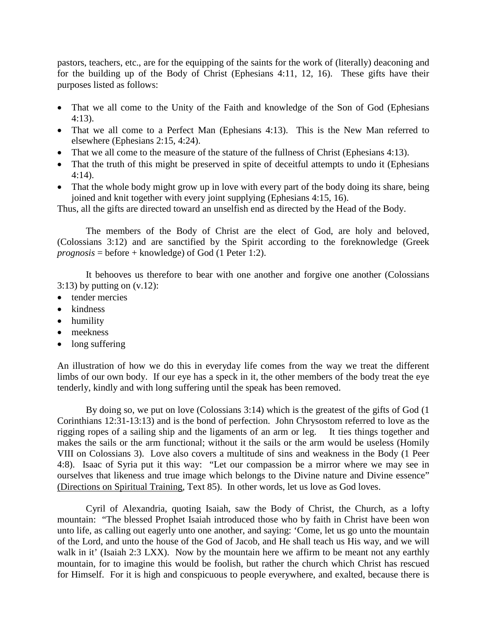pastors, teachers, etc., are for the equipping of the saints for the work of (literally) deaconing and for the building up of the Body of Christ (Ephesians 4:11, 12, 16). These gifts have their purposes listed as follows:

- That we all come to the Unity of the Faith and knowledge of the Son of God (Ephesians 4:13).
- That we all come to a Perfect Man (Ephesians 4:13). This is the New Man referred to elsewhere (Ephesians 2:15, 4:24).
- That we all come to the measure of the stature of the fullness of Christ (Ephesians 4:13).
- That the truth of this might be preserved in spite of deceitful attempts to undo it (Ephesians 4:14).
- That the whole body might grow up in love with every part of the body doing its share, being joined and knit together with every joint supplying (Ephesians 4:15, 16).

Thus, all the gifts are directed toward an unselfish end as directed by the Head of the Body.

The members of the Body of Christ are the elect of God, are holy and beloved, (Colossians 3:12) and are sanctified by the Spirit according to the foreknowledge (Greek *prognosis* = before + knowledge) of God (1 Peter 1:2).

It behooves us therefore to bear with one another and forgive one another (Colossians  $3:13$ ) by putting on  $(v.12)$ :

- tender mercies
- kindness
- humility
- meekness
- long suffering

An illustration of how we do this in everyday life comes from the way we treat the different limbs of our own body. If our eye has a speck in it, the other members of the body treat the eye tenderly, kindly and with long suffering until the speak has been removed.

By doing so, we put on love (Colossians 3:14) which is the greatest of the gifts of God (1 Corinthians 12:31-13:13) and is the bond of perfection. John Chrysostom referred to love as the rigging ropes of a sailing ship and the ligaments of an arm or leg. It ties things together and makes the sails or the arm functional; without it the sails or the arm would be useless (Homily VIII on Colossians 3). Love also covers a multitude of sins and weakness in the Body (1 Peer 4:8). Isaac of Syria put it this way: "Let our compassion be a mirror where we may see in ourselves that likeness and true image which belongs to the Divine nature and Divine essence" (Directions on Spiritual Training, Text 85). In other words, let us love as God loves.

Cyril of Alexandria, quoting Isaiah, saw the Body of Christ, the Church, as a lofty mountain: "The blessed Prophet Isaiah introduced those who by faith in Christ have been won unto life, as calling out eagerly unto one another, and saying: 'Come, let us go unto the mountain of the Lord, and unto the house of the God of Jacob, and He shall teach us His way, and we will walk in it' (Isaiah 2:3 LXX). Now by the mountain here we affirm to be meant not any earthly mountain, for to imagine this would be foolish, but rather the church which Christ has rescued for Himself. For it is high and conspicuous to people everywhere, and exalted, because there is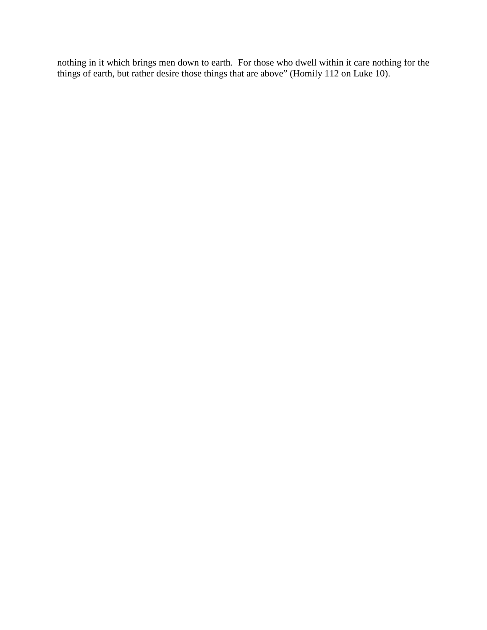nothing in it which brings men down to earth. For those who dwell within it care nothing for the things of earth, but rather desire those things that are above" (Homily 112 on Luke 10).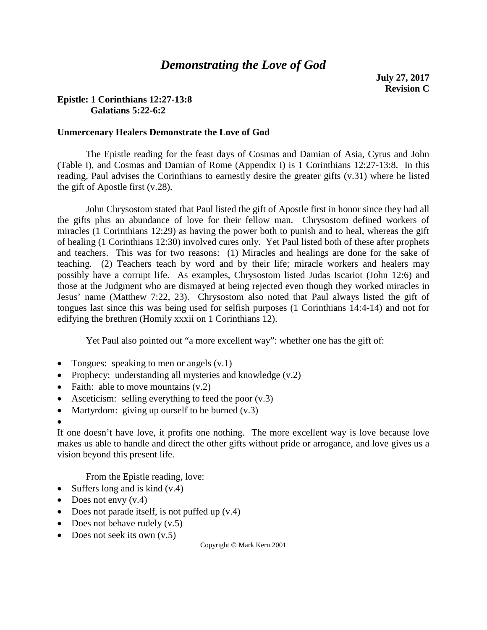# *Demonstrating the Love of God*

## **Epistle: 1 Corinthians 12:27-13:8 Galatians 5:22-6:2**

## **Unmercenary Healers Demonstrate the Love of God**

The Epistle reading for the feast days of Cosmas and Damian of Asia, Cyrus and John (Table I), and Cosmas and Damian of Rome (Appendix I) is 1 Corinthians 12:27-13:8. In this reading, Paul advises the Corinthians to earnestly desire the greater gifts (v.31) where he listed the gift of Apostle first (v.28).

John Chrysostom stated that Paul listed the gift of Apostle first in honor since they had all the gifts plus an abundance of love for their fellow man. Chrysostom defined workers of miracles (1 Corinthians 12:29) as having the power both to punish and to heal, whereas the gift of healing (1 Corinthians 12:30) involved cures only. Yet Paul listed both of these after prophets and teachers. This was for two reasons: (1) Miracles and healings are done for the sake of teaching. (2) Teachers teach by word and by their life; miracle workers and healers may possibly have a corrupt life. As examples, Chrysostom listed Judas Iscariot (John 12:6) and those at the Judgment who are dismayed at being rejected even though they worked miracles in Jesus' name (Matthew 7:22, 23). Chrysostom also noted that Paul always listed the gift of tongues last since this was being used for selfish purposes (1 Corinthians 14:4-14) and not for edifying the brethren (Homily xxxii on 1 Corinthians 12).

Yet Paul also pointed out "a more excellent way": whether one has the gift of:

- Tongues: speaking to men or angels  $(v.1)$
- Prophecy: understanding all mysteries and knowledge (v.2)
- Faith: able to move mountains  $(v.2)$
- Asceticism: selling everything to feed the poor  $(v,3)$
- Martyrdom: giving up ourself to be burned  $(v.3)$
- •

If one doesn't have love, it profits one nothing. The more excellent way is love because love makes us able to handle and direct the other gifts without pride or arrogance, and love gives us a vision beyond this present life.

From the Epistle reading, love:

- Suffers long and is kind  $(v.4)$
- Does not envy  $(v.4)$
- Does not parade itself, is not puffed up  $(v.4)$
- Does not behave rudely  $(v.5)$
- Does not seek its own  $(v.5)$

Copyright  $\odot$  Mark Kern 2001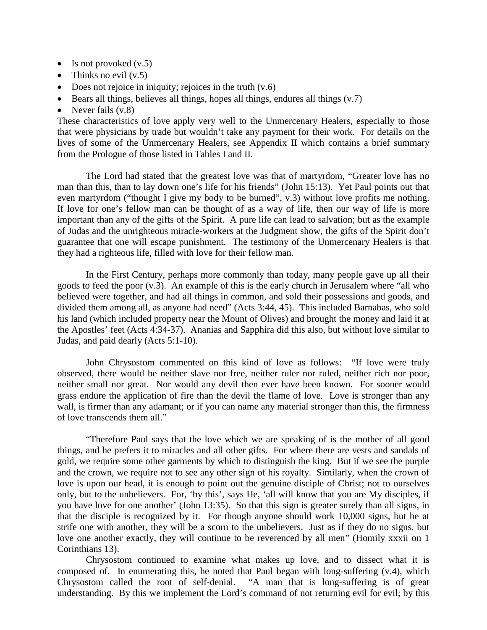- Is not provoked  $(v.5)$
- Thinks no evil  $(v.5)$
- Does not rejoice in iniquity; rejoices in the truth  $(v.6)$
- Bears all things, believes all things, hopes all things, endures all things  $(v.7)$
- Never fails  $(v.8)$

These characteristics of love apply very well to the Unmercenary Healers, especially to those that were physicians by trade but wouldn't take any payment for their work. For details on the lives of some of the Unmercenary Healers, see Appendix II which contains a brief summary from the Prologue of those listed in Tables I and II.

The Lord had stated that the greatest love was that of martyrdom, "Greater love has no man than this, than to lay down one's life for his friends" (John 15:13). Yet Paul points out that even martyrdom ("thought I give my body to be burned", v.3) without love profits me nothing. If love for one's fellow man can be thought of as a way of life, then our way of life is more important than any of the gifts of the Spirit. A pure life can lead to salvation; but as the example of Judas and the unrighteous miracle-workers at the Judgment show, the gifts of the Spirit don't guarantee that one will escape punishment. The testimony of the Unmercenary Healers is that they had a righteous life, filled with love for their fellow man.

In the First Century, perhaps more commonly than today, many people gave up all their goods to feed the poor (v.3). An example of this is the early church in Jerusalem where "all who believed were together, and had all things in common, and sold their possessions and goods, and divided them among all, as anyone had need" (Acts 3:44, 45). This included Barnabas, who sold his land (which included property near the Mount of Olives) and brought the money and laid it at the Apostles' feet (Acts 4:34-37). Ananias and Sapphira did this also, but without love similar to Judas, and paid dearly (Acts 5:1-10).

John Chrysostom commented on this kind of love as follows: "If love were truly observed, there would be neither slave nor free, neither ruler nor ruled, neither rich nor poor, neither small nor great. Nor would any devil then ever have been known. For sooner would grass endure the application of fire than the devil the flame of love. Love is stronger than any wall, is firmer than any adamant; or if you can name any material stronger than this, the firmness of love transcends them all."

"Therefore Paul says that the love which we are speaking of is the mother of all good things, and he prefers it to miracles and all other gifts. For where there are vests and sandals of gold, we require some other garments by which to distinguish the king. But if we see the purple and the crown, we require not to see any other sign of his royalty. Similarly, when the crown of love is upon our head, it is enough to point out the genuine disciple of Christ; not to ourselves only, but to the unbelievers. For, 'by this', says He, 'all will know that you are My disciples, if you have love for one another' (John 13:35). So that this sign is greater surely than all signs, in that the disciple is recognized by it. For though anyone should work 10,000 signs, but be at strife one with another, they will be a scorn to the unbelievers. Just as if they do no signs, but love one another exactly, they will continue to be reverenced by all men" (Homily xxxii on 1 Corinthians 13).

Chrysostom continued to examine what makes up love, and to dissect what it is composed of. In enumerating this, he noted that Paul began with long-suffering (v.4), which Chrysostom called the root of self-denial. "A man that is long-suffering is of great understanding. By this we implement the Lord's command of not returning evil for evil; by this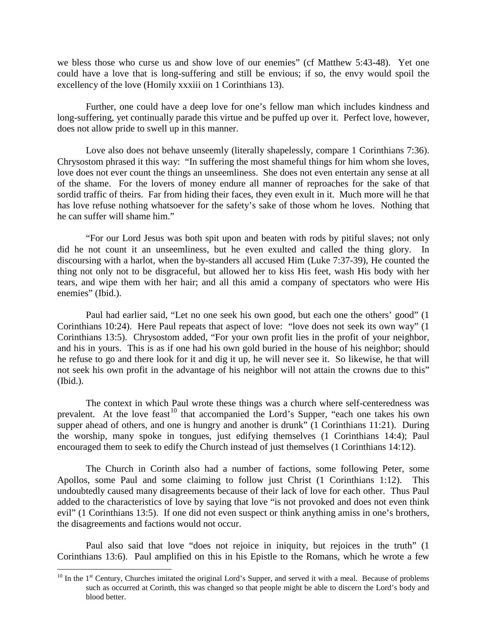we bless those who curse us and show love of our enemies" (cf Matthew 5:43-48). Yet one could have a love that is long-suffering and still be envious; if so, the envy would spoil the excellency of the love (Homily xxxiii on 1 Corinthians 13).

Further, one could have a deep love for one's fellow man which includes kindness and long-suffering, yet continually parade this virtue and be puffed up over it. Perfect love, however, does not allow pride to swell up in this manner.

Love also does not behave unseemly (literally shapelessly, compare 1 Corinthians 7:36). Chrysostom phrased it this way: "In suffering the most shameful things for him whom she loves, love does not ever count the things an unseemliness. She does not even entertain any sense at all of the shame. For the lovers of money endure all manner of reproaches for the sake of that sordid traffic of theirs. Far from hiding their faces, they even exult in it. Much more will he that has love refuse nothing whatsoever for the safety's sake of those whom he loves. Nothing that he can suffer will shame him."

"For our Lord Jesus was both spit upon and beaten with rods by pitiful slaves; not only did he not count it an unseemliness, but he even exulted and called the thing glory. In discoursing with a harlot, when the by-standers all accused Him (Luke 7:37-39), He counted the thing not only not to be disgraceful, but allowed her to kiss His feet, wash His body with her tears, and wipe them with her hair; and all this amid a company of spectators who were His enemies" (Ibid.).

Paul had earlier said, "Let no one seek his own good, but each one the others' good" (1 Corinthians 10:24). Here Paul repeats that aspect of love: "love does not seek its own way" (1 Corinthians 13:5). Chrysostom added, "For your own profit lies in the profit of your neighbor, and his in yours. This is as if one had his own gold buried in the house of his neighbor; should he refuse to go and there look for it and dig it up, he will never see it. So likewise, he that will not seek his own profit in the advantage of his neighbor will not attain the crowns due to this" (Ibid.).

The context in which Paul wrote these things was a church where self-centeredness was prevalent. At the love feast<sup>[10](#page-13-0)</sup> that accompanied the Lord's Supper, "each one takes his own supper ahead of others, and one is hungry and another is drunk" (1 Corinthians 11:21). During the worship, many spoke in tongues, just edifying themselves (1 Corinthians 14:4); Paul encouraged them to seek to edify the Church instead of just themselves (1 Corinthians 14:12).

The Church in Corinth also had a number of factions, some following Peter, some Apollos, some Paul and some claiming to follow just Christ (1 Corinthians 1:12). This undoubtedly caused many disagreements because of their lack of love for each other. Thus Paul added to the characteristics of love by saying that love "is not provoked and does not even think evil" (1 Corinthians 13:5). If one did not even suspect or think anything amiss in one's brothers, the disagreements and factions would not occur.

Paul also said that love "does not rejoice in iniquity, but rejoices in the truth" (1 Corinthians 13:6). Paul amplified on this in his Epistle to the Romans, which he wrote a few

<span id="page-13-0"></span> $10$  In the 1<sup>st</sup> Century, Churches imitated the original Lord's Supper, and served it with a meal. Because of problems such as occurred at Corinth, this was changed so that people might be able to discern the Lord's body and blood better.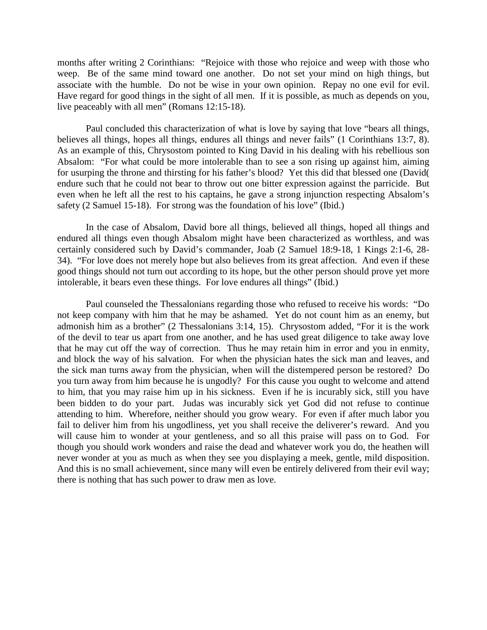months after writing 2 Corinthians: "Rejoice with those who rejoice and weep with those who weep. Be of the same mind toward one another. Do not set your mind on high things, but associate with the humble. Do not be wise in your own opinion. Repay no one evil for evil. Have regard for good things in the sight of all men. If it is possible, as much as depends on you, live peaceably with all men" (Romans 12:15-18).

Paul concluded this characterization of what is love by saying that love "bears all things, believes all things, hopes all things, endures all things and never fails" (1 Corinthians 13:7, 8). As an example of this, Chrysostom pointed to King David in his dealing with his rebellious son Absalom: "For what could be more intolerable than to see a son rising up against him, aiming for usurping the throne and thirsting for his father's blood? Yet this did that blessed one (David( endure such that he could not bear to throw out one bitter expression against the parricide. But even when he left all the rest to his captains, he gave a strong injunction respecting Absalom's safety (2 Samuel 15-18). For strong was the foundation of his love" (Ibid.)

In the case of Absalom, David bore all things, believed all things, hoped all things and endured all things even though Absalom might have been characterized as worthless, and was certainly considered such by David's commander, Joab (2 Samuel 18:9-18, 1 Kings 2:1-6, 28- 34). "For love does not merely hope but also believes from its great affection. And even if these good things should not turn out according to its hope, but the other person should prove yet more intolerable, it bears even these things. For love endures all things" (Ibid.)

Paul counseled the Thessalonians regarding those who refused to receive his words: "Do not keep company with him that he may be ashamed. Yet do not count him as an enemy, but admonish him as a brother" (2 Thessalonians 3:14, 15). Chrysostom added, "For it is the work of the devil to tear us apart from one another, and he has used great diligence to take away love that he may cut off the way of correction. Thus he may retain him in error and you in enmity, and block the way of his salvation. For when the physician hates the sick man and leaves, and the sick man turns away from the physician, when will the distempered person be restored? Do you turn away from him because he is ungodly? For this cause you ought to welcome and attend to him, that you may raise him up in his sickness. Even if he is incurably sick, still you have been bidden to do your part. Judas was incurably sick yet God did not refuse to continue attending to him. Wherefore, neither should you grow weary. For even if after much labor you fail to deliver him from his ungodliness, yet you shall receive the deliverer's reward. And you will cause him to wonder at your gentleness, and so all this praise will pass on to God. For though you should work wonders and raise the dead and whatever work you do, the heathen will never wonder at you as much as when they see you displaying a meek, gentle, mild disposition. And this is no small achievement, since many will even be entirely delivered from their evil way; there is nothing that has such power to draw men as love.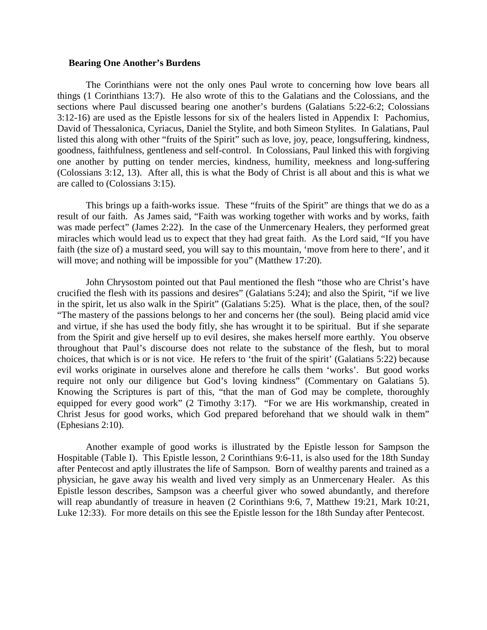#### **Bearing One Another's Burdens**

The Corinthians were not the only ones Paul wrote to concerning how love bears all things (1 Corinthians 13:7). He also wrote of this to the Galatians and the Colossians, and the sections where Paul discussed bearing one another's burdens (Galatians 5:22-6:2; Colossians 3:12-16) are used as the Epistle lessons for six of the healers listed in Appendix I: Pachomius, David of Thessalonica, Cyriacus, Daniel the Stylite, and both Simeon Stylites. In Galatians, Paul listed this along with other "fruits of the Spirit" such as love, joy, peace, longsuffering, kindness, goodness, faithfulness, gentleness and self-control. In Colossians, Paul linked this with forgiving one another by putting on tender mercies, kindness, humility, meekness and long-suffering (Colossians 3:12, 13). After all, this is what the Body of Christ is all about and this is what we are called to (Colossians 3:15).

This brings up a faith-works issue. These "fruits of the Spirit" are things that we do as a result of our faith. As James said, "Faith was working together with works and by works, faith was made perfect" (James 2:22). In the case of the Unmercenary Healers, they performed great miracles which would lead us to expect that they had great faith. As the Lord said, "If you have faith (the size of) a mustard seed, you will say to this mountain, 'move from here to there', and it will move; and nothing will be impossible for you" (Matthew 17:20).

John Chrysostom pointed out that Paul mentioned the flesh "those who are Christ's have crucified the flesh with its passions and desires" (Galatians 5:24); and also the Spirit, "if we live in the spirit, let us also walk in the Spirit" (Galatians 5:25). What is the place, then, of the soul? "The mastery of the passions belongs to her and concerns her (the soul). Being placid amid vice and virtue, if she has used the body fitly, she has wrought it to be spiritual. But if she separate from the Spirit and give herself up to evil desires, she makes herself more earthly. You observe throughout that Paul's discourse does not relate to the substance of the flesh, but to moral choices, that which is or is not vice. He refers to 'the fruit of the spirit' (Galatians 5:22) because evil works originate in ourselves alone and therefore he calls them 'works'. But good works require not only our diligence but God's loving kindness" (Commentary on Galatians 5). Knowing the Scriptures is part of this, "that the man of God may be complete, thoroughly equipped for every good work" (2 Timothy 3:17). "For we are His workmanship, created in Christ Jesus for good works, which God prepared beforehand that we should walk in them" (Ephesians 2:10).

Another example of good works is illustrated by the Epistle lesson for Sampson the Hospitable (Table I). This Epistle lesson, 2 Corinthians 9:6-11, is also used for the 18th Sunday after Pentecost and aptly illustrates the life of Sampson. Born of wealthy parents and trained as a physician, he gave away his wealth and lived very simply as an Unmercenary Healer. As this Epistle lesson describes, Sampson was a cheerful giver who sowed abundantly, and therefore will reap abundantly of treasure in heaven (2 Corinthians 9:6, 7, Matthew 19:21, Mark 10:21, Luke 12:33). For more details on this see the Epistle lesson for the 18th Sunday after Pentecost.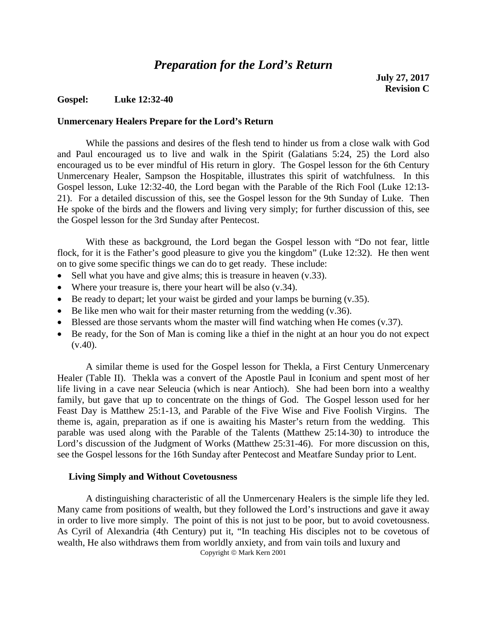## *Preparation for the Lord's Return*

### **Gospel: Luke 12:32-40**

### **Unmercenary Healers Prepare for the Lord's Return**

While the passions and desires of the flesh tend to hinder us from a close walk with God and Paul encouraged us to live and walk in the Spirit (Galatians 5:24, 25) the Lord also encouraged us to be ever mindful of His return in glory. The Gospel lesson for the 6th Century Unmercenary Healer, Sampson the Hospitable, illustrates this spirit of watchfulness. In this Gospel lesson, Luke 12:32-40, the Lord began with the Parable of the Rich Fool (Luke 12:13- 21). For a detailed discussion of this, see the Gospel lesson for the 9th Sunday of Luke. Then He spoke of the birds and the flowers and living very simply; for further discussion of this, see the Gospel lesson for the 3rd Sunday after Pentecost.

With these as background, the Lord began the Gospel lesson with "Do not fear, little flock, for it is the Father's good pleasure to give you the kingdom" (Luke 12:32). He then went on to give some specific things we can do to get ready. These include:

- Sell what you have and give alms; this is treasure in heaven (v.33).
- Where your treasure is, there your heart will be also (v.34).
- Be ready to depart; let your waist be girded and your lamps be burning  $(v.35)$ .
- Be like men who wait for their master returning from the wedding  $(v.36)$ .
- Blessed are those servants whom the master will find watching when He comes (v.37).
- Be ready, for the Son of Man is coming like a thief in the night at an hour you do not expect  $(v.40)$ .

A similar theme is used for the Gospel lesson for Thekla, a First Century Unmercenary Healer (Table II). Thekla was a convert of the Apostle Paul in Iconium and spent most of her life living in a cave near Seleucia (which is near Antioch). She had been born into a wealthy family, but gave that up to concentrate on the things of God. The Gospel lesson used for her Feast Day is Matthew 25:1-13, and Parable of the Five Wise and Five Foolish Virgins. The theme is, again, preparation as if one is awaiting his Master's return from the wedding. This parable was used along with the Parable of the Talents (Matthew 25:14-30) to introduce the Lord's discussion of the Judgment of Works (Matthew 25:31-46). For more discussion on this, see the Gospel lessons for the 16th Sunday after Pentecost and Meatfare Sunday prior to Lent.

### **Living Simply and Without Covetousness**

A distinguishing characteristic of all the Unmercenary Healers is the simple life they led. Many came from positions of wealth, but they followed the Lord's instructions and gave it away in order to live more simply. The point of this is not just to be poor, but to avoid covetousness. As Cyril of Alexandria (4th Century) put it, "In teaching His disciples not to be covetous of wealth, He also withdraws them from worldly anxiety, and from vain toils and luxury and Copyright © Mark Kern 2001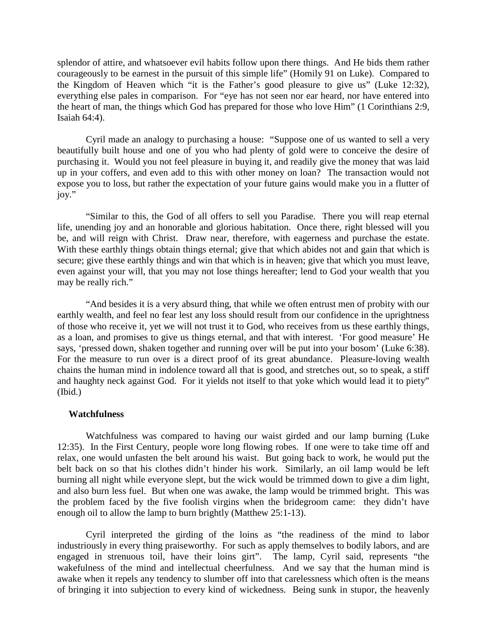splendor of attire, and whatsoever evil habits follow upon there things. And He bids them rather courageously to be earnest in the pursuit of this simple life" (Homily 91 on Luke). Compared to the Kingdom of Heaven which "it is the Father's good pleasure to give us" (Luke 12:32), everything else pales in comparison. For "eye has not seen nor ear heard, nor have entered into the heart of man, the things which God has prepared for those who love Him" (1 Corinthians 2:9, Isaiah 64:4).

Cyril made an analogy to purchasing a house: "Suppose one of us wanted to sell a very beautifully built house and one of you who had plenty of gold were to conceive the desire of purchasing it. Would you not feel pleasure in buying it, and readily give the money that was laid up in your coffers, and even add to this with other money on loan? The transaction would not expose you to loss, but rather the expectation of your future gains would make you in a flutter of joy."

"Similar to this, the God of all offers to sell you Paradise. There you will reap eternal life, unending joy and an honorable and glorious habitation. Once there, right blessed will you be, and will reign with Christ. Draw near, therefore, with eagerness and purchase the estate. With these earthly things obtain things eternal; give that which abides not and gain that which is secure; give these earthly things and win that which is in heaven; give that which you must leave, even against your will, that you may not lose things hereafter; lend to God your wealth that you may be really rich."

"And besides it is a very absurd thing, that while we often entrust men of probity with our earthly wealth, and feel no fear lest any loss should result from our confidence in the uprightness of those who receive it, yet we will not trust it to God, who receives from us these earthly things, as a loan, and promises to give us things eternal, and that with interest. 'For good measure' He says, 'pressed down, shaken together and running over will be put into your bosom' (Luke 6:38). For the measure to run over is a direct proof of its great abundance. Pleasure-loving wealth chains the human mind in indolence toward all that is good, and stretches out, so to speak, a stiff and haughty neck against God. For it yields not itself to that yoke which would lead it to piety" (Ibid.)

### **Watchfulness**

Watchfulness was compared to having our waist girded and our lamp burning (Luke 12:35). In the First Century, people wore long flowing robes. If one were to take time off and relax, one would unfasten the belt around his waist. But going back to work, he would put the belt back on so that his clothes didn't hinder his work. Similarly, an oil lamp would be left burning all night while everyone slept, but the wick would be trimmed down to give a dim light, and also burn less fuel. But when one was awake, the lamp would be trimmed bright. This was the problem faced by the five foolish virgins when the bridegroom came: they didn't have enough oil to allow the lamp to burn brightly (Matthew 25:1-13).

Cyril interpreted the girding of the loins as "the readiness of the mind to labor industriously in every thing praiseworthy. For such as apply themselves to bodily labors, and are engaged in strenuous toil, have their loins girt". The lamp, Cyril said, represents "the wakefulness of the mind and intellectual cheerfulness. And we say that the human mind is awake when it repels any tendency to slumber off into that carelessness which often is the means of bringing it into subjection to every kind of wickedness. Being sunk in stupor, the heavenly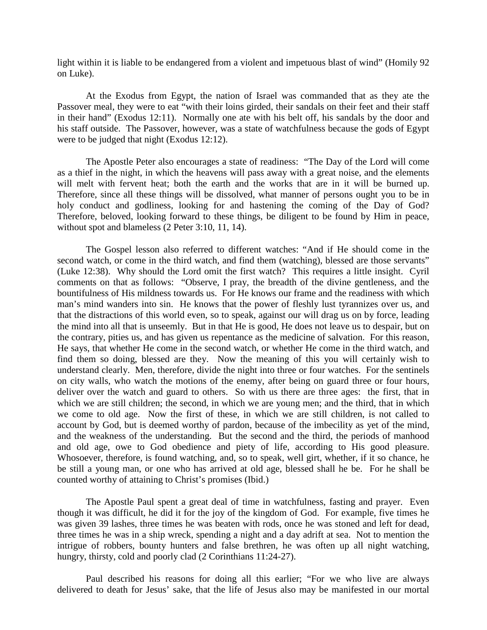light within it is liable to be endangered from a violent and impetuous blast of wind" (Homily 92 on Luke).

At the Exodus from Egypt, the nation of Israel was commanded that as they ate the Passover meal, they were to eat "with their loins girded, their sandals on their feet and their staff in their hand" (Exodus 12:11). Normally one ate with his belt off, his sandals by the door and his staff outside. The Passover, however, was a state of watchfulness because the gods of Egypt were to be judged that night (Exodus 12:12).

The Apostle Peter also encourages a state of readiness: "The Day of the Lord will come as a thief in the night, in which the heavens will pass away with a great noise, and the elements will melt with fervent heat; both the earth and the works that are in it will be burned up. Therefore, since all these things will be dissolved, what manner of persons ought you to be in holy conduct and godliness, looking for and hastening the coming of the Day of God? Therefore, beloved, looking forward to these things, be diligent to be found by Him in peace, without spot and blameless (2 Peter 3:10, 11, 14).

The Gospel lesson also referred to different watches: "And if He should come in the second watch, or come in the third watch, and find them (watching), blessed are those servants" (Luke 12:38). Why should the Lord omit the first watch? This requires a little insight. Cyril comments on that as follows: "Observe, I pray, the breadth of the divine gentleness, and the bountifulness of His mildness towards us. For He knows our frame and the readiness with which man's mind wanders into sin. He knows that the power of fleshly lust tyrannizes over us, and that the distractions of this world even, so to speak, against our will drag us on by force, leading the mind into all that is unseemly. But in that He is good, He does not leave us to despair, but on the contrary, pities us, and has given us repentance as the medicine of salvation. For this reason, He says, that whether He come in the second watch, or whether He come in the third watch, and find them so doing, blessed are they. Now the meaning of this you will certainly wish to understand clearly. Men, therefore, divide the night into three or four watches. For the sentinels on city walls, who watch the motions of the enemy, after being on guard three or four hours, deliver over the watch and guard to others. So with us there are three ages: the first, that in which we are still children; the second, in which we are young men; and the third, that in which we come to old age. Now the first of these, in which we are still children, is not called to account by God, but is deemed worthy of pardon, because of the imbecility as yet of the mind, and the weakness of the understanding. But the second and the third, the periods of manhood and old age, owe to God obedience and piety of life, according to His good pleasure. Whosoever, therefore, is found watching, and, so to speak, well girt, whether, if it so chance, he be still a young man, or one who has arrived at old age, blessed shall he be. For he shall be counted worthy of attaining to Christ's promises (Ibid.)

The Apostle Paul spent a great deal of time in watchfulness, fasting and prayer. Even though it was difficult, he did it for the joy of the kingdom of God. For example, five times he was given 39 lashes, three times he was beaten with rods, once he was stoned and left for dead, three times he was in a ship wreck, spending a night and a day adrift at sea. Not to mention the intrigue of robbers, bounty hunters and false brethren, he was often up all night watching, hungry, thirsty, cold and poorly clad (2 Corinthians 11:24-27).

Paul described his reasons for doing all this earlier; "For we who live are always delivered to death for Jesus' sake, that the life of Jesus also may be manifested in our mortal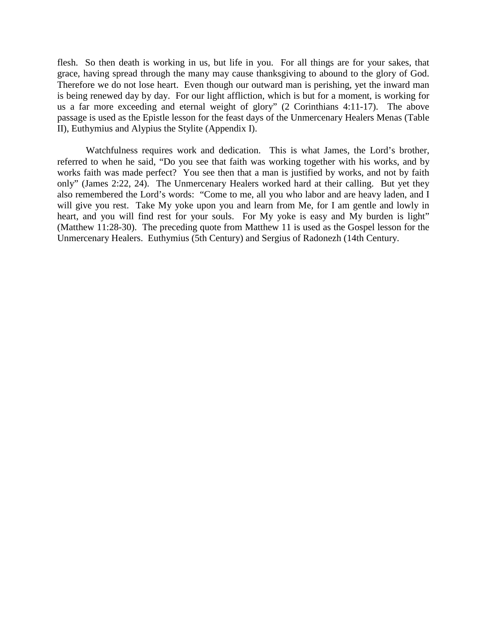flesh. So then death is working in us, but life in you. For all things are for your sakes, that grace, having spread through the many may cause thanksgiving to abound to the glory of God. Therefore we do not lose heart. Even though our outward man is perishing, yet the inward man is being renewed day by day. For our light affliction, which is but for a moment, is working for us a far more exceeding and eternal weight of glory" (2 Corinthians 4:11-17). The above passage is used as the Epistle lesson for the feast days of the Unmercenary Healers Menas (Table II), Euthymius and Alypius the Stylite (Appendix I).

Watchfulness requires work and dedication. This is what James, the Lord's brother, referred to when he said, "Do you see that faith was working together with his works, and by works faith was made perfect? You see then that a man is justified by works, and not by faith only" (James 2:22, 24). The Unmercenary Healers worked hard at their calling. But yet they also remembered the Lord's words: "Come to me, all you who labor and are heavy laden, and I will give you rest. Take My yoke upon you and learn from Me, for I am gentle and lowly in heart, and you will find rest for your souls. For My yoke is easy and My burden is light" (Matthew 11:28-30). The preceding quote from Matthew 11 is used as the Gospel lesson for the Unmercenary Healers. Euthymius (5th Century) and Sergius of Radonezh (14th Century.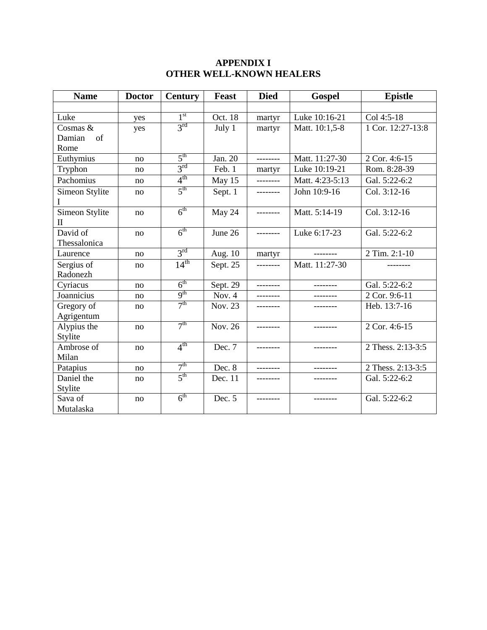## **APPENDIX I OTHER WELL-KNOWN HEALERS**

| <b>Name</b>    | <b>Doctor</b> | <b>Century</b>  | <b>Feast</b> | <b>Died</b> | <b>Gospel</b>   | <b>Epistle</b>             |
|----------------|---------------|-----------------|--------------|-------------|-----------------|----------------------------|
|                |               |                 |              |             |                 |                            |
| Luke           | yes           | 1 <sup>st</sup> | Oct. 18      | martyr      | Luke 10:16-21   | Col 4:5-18                 |
| Cosmas $&$     | yes           | $3^{\text{rd}}$ | July 1       | martyr      | Matt. 10:1,5-8  | 1 Cor. 12:27-13:8          |
| Damian<br>of   |               |                 |              |             |                 |                            |
| Rome           |               |                 |              |             |                 |                            |
| Euthymius      | no            | 5 <sup>th</sup> | Jan. 20      | --------    | Matt. 11:27-30  | 2 Cor. 4:6-15              |
| Tryphon        | no            | 3 <sup>rd</sup> | Feb. 1       | martyr      | Luke 10:19-21   | Rom. 8:28-39               |
| Pachomius      | no            | $4^{\text{th}}$ | May 15       | ---------   | Matt. 4:23-5:13 | Gal. 5:22-6:2              |
| Simeon Stylite | no            | $5^{\text{th}}$ | Sept. 1      | --------    | John 10:9-16    | Col. 3:12-16               |
| I              |               |                 |              |             |                 |                            |
| Simeon Stylite | no            | $6^{\text{th}}$ | May 24       | ---------   | Matt. 5:14-19   | Col. 3:12-16               |
| $\mathbf{I}$   |               |                 |              |             |                 |                            |
| David of       | no            | 6 <sup>th</sup> | June 26      | --------    | Luke 6:17-23    | Gal. 5:22-6:2              |
| Thessalonica   |               |                 |              |             |                 |                            |
| Laurence       | no            | $3^{\text{rd}}$ | Aug. $10$    | martyr      | ---------       | 2 Tim. $2:\overline{1-10}$ |
| Sergius of     | no            | $14^{th}$       | Sept. 25     | --------    | Matt. 11:27-30  |                            |
| Radonezh       |               |                 |              |             |                 |                            |
| Cyriacus       | no            | 6 <sup>th</sup> | Sept. 29     | --------    | --------        | Gal. 5:22-6:2              |
| Joannicius     | no            | 9 <sup>th</sup> | Nov. $4$     | ---------   |                 | 2 Cor. 9:6-11              |
| Gregory of     | no            | 7 <sup>th</sup> | Nov. 23      | --------    | --------        | Heb. 13:7-16               |
| Agrigentum     |               |                 |              |             |                 |                            |
| Alypius the    | no            | 7 <sup>th</sup> | Nov. 26      | --------    |                 | 2 Cor. 4:6-15              |
| Stylite        |               |                 |              |             |                 |                            |
| Ambrose of     | no            | $4^{\text{th}}$ | Dec. 7       | ---------   | --------        | 2 Thess. 2:13-3:5          |
| Milan          |               |                 |              |             |                 |                            |
| Patapius       | no            | 7 <sup>th</sup> | Dec. 8       | --------    | ---------       | 2 Thess. 2:13-3:5          |
| Daniel the     | no            | $5^{\text{th}}$ | Dec. 11      | --------    |                 | Gal. 5:22-6:2              |
| Stylite        |               |                 |              |             |                 |                            |
| Sava of        | no            | 6 <sup>th</sup> | Dec. 5       |             | --------        | Gal. 5:22-6:2              |
| Mutalaska      |               |                 |              |             |                 |                            |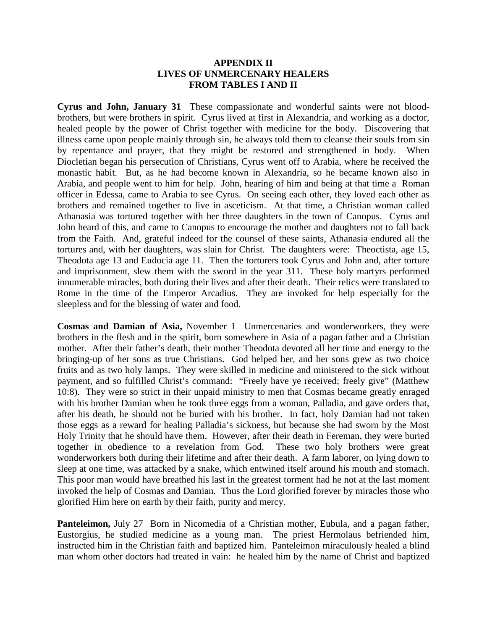## **APPENDIX II LIVES OF UNMERCENARY HEALERS FROM TABLES I AND II**

**Cyrus and John, January 31** These compassionate and wonderful saints were not bloodbrothers, but were brothers in spirit. Cyrus lived at first in Alexandria, and working as a doctor, healed people by the power of Christ together with medicine for the body. Discovering that illness came upon people mainly through sin, he always told them to cleanse their souls from sin by repentance and prayer, that they might be restored and strengthened in body. When Diocletian began his persecution of Christians, Cyrus went off to Arabia, where he received the monastic habit. But, as he had become known in Alexandria, so he became known also in Arabia, and people went to him for help. John, hearing of him and being at that time a Roman officer in Edessa, came to Arabia to see Cyrus. On seeing each other, they loved each other as brothers and remained together to live in asceticism. At that time, a Christian woman called Athanasia was tortured together with her three daughters in the town of Canopus. Cyrus and John heard of this, and came to Canopus to encourage the mother and daughters not to fall back from the Faith. And, grateful indeed for the counsel of these saints, Athanasia endured all the tortures and, with her daughters, was slain for Christ. The daughters were: Theoctista, age 15, Theodota age 13 and Eudocia age 11. Then the torturers took Cyrus and John and, after torture and imprisonment, slew them with the sword in the year 311. These holy martyrs performed innumerable miracles, both during their lives and after their death. Their relics were translated to Rome in the time of the Emperor Arcadius. They are invoked for help especially for the sleepless and for the blessing of water and food.

**Cosmas and Damian of Asia,** November 1 Unmercenaries and wonderworkers, they were brothers in the flesh and in the spirit, born somewhere in Asia of a pagan father and a Christian mother. After their father's death, their mother Theodota devoted all her time and energy to the bringing-up of her sons as true Christians. God helped her, and her sons grew as two choice fruits and as two holy lamps. They were skilled in medicine and ministered to the sick without payment, and so fulfilled Christ's command: "Freely have ye received; freely give" (Matthew 10:8). They were so strict in their unpaid ministry to men that Cosmas became greatly enraged with his brother Damian when he took three eggs from a woman, Palladia, and gave orders that, after his death, he should not be buried with his brother. In fact, holy Damian had not taken those eggs as a reward for healing Palladia's sickness, but because she had sworn by the Most Holy Trinity that he should have them. However, after their death in Fereman, they were buried together in obedience to a revelation from God. These two holy brothers were great wonderworkers both during their lifetime and after their death. A farm laborer, on lying down to sleep at one time, was attacked by a snake, which entwined itself around his mouth and stomach. This poor man would have breathed his last in the greatest torment had he not at the last moment invoked the help of Cosmas and Damian. Thus the Lord glorified forever by miracles those who glorified Him here on earth by their faith, purity and mercy.

**Panteleimon,** July 27 Born in Nicomedia of a Christian mother, Eubula, and a pagan father, Eustorgius, he studied medicine as a young man. The priest Hermolaus befriended him, instructed him in the Christian faith and baptized him. Panteleimon miraculously healed a blind man whom other doctors had treated in vain: he healed him by the name of Christ and baptized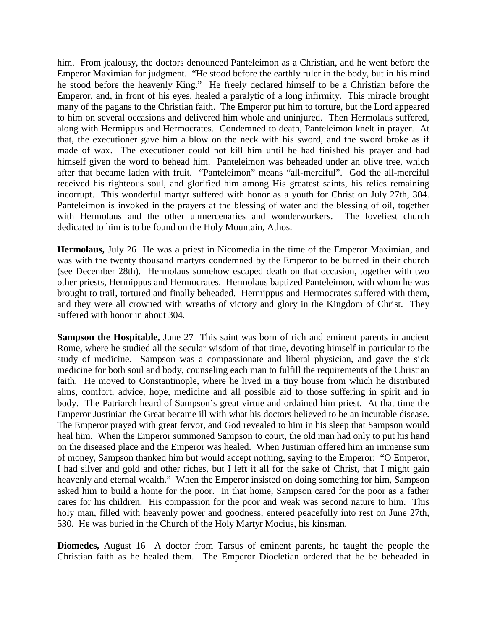him. From jealousy, the doctors denounced Panteleimon as a Christian, and he went before the Emperor Maximian for judgment. "He stood before the earthly ruler in the body, but in his mind he stood before the heavenly King." He freely declared himself to be a Christian before the Emperor, and, in front of his eyes, healed a paralytic of a long infirmity. This miracle brought many of the pagans to the Christian faith. The Emperor put him to torture, but the Lord appeared to him on several occasions and delivered him whole and uninjured. Then Hermolaus suffered, along with Hermippus and Hermocrates. Condemned to death, Panteleimon knelt in prayer. At that, the executioner gave him a blow on the neck with his sword, and the sword broke as if made of wax. The executioner could not kill him until he had finished his prayer and had himself given the word to behead him. Panteleimon was beheaded under an olive tree, which after that became laden with fruit. "Panteleimon" means "all-merciful". God the all-merciful received his righteous soul, and glorified him among His greatest saints, his relics remaining incorrupt. This wonderful martyr suffered with honor as a youth for Christ on July 27th, 304. Panteleimon is invoked in the prayers at the blessing of water and the blessing of oil, together with Hermolaus and the other unmercenaries and wonderworkers. The loveliest church dedicated to him is to be found on the Holy Mountain, Athos.

**Hermolaus,** July 26 He was a priest in Nicomedia in the time of the Emperor Maximian, and was with the twenty thousand martyrs condemned by the Emperor to be burned in their church (see December 28th). Hermolaus somehow escaped death on that occasion, together with two other priests, Hermippus and Hermocrates. Hermolaus baptized Panteleimon, with whom he was brought to trail, tortured and finally beheaded. Hermippus and Hermocrates suffered with them, and they were all crowned with wreaths of victory and glory in the Kingdom of Christ. They suffered with honor in about 304.

**Sampson the Hospitable, June 27** This saint was born of rich and eminent parents in ancient Rome, where he studied all the secular wisdom of that time, devoting himself in particular to the study of medicine. Sampson was a compassionate and liberal physician, and gave the sick medicine for both soul and body, counseling each man to fulfill the requirements of the Christian faith. He moved to Constantinople, where he lived in a tiny house from which he distributed alms, comfort, advice, hope, medicine and all possible aid to those suffering in spirit and in body. The Patriarch heard of Sampson's great virtue and ordained him priest. At that time the Emperor Justinian the Great became ill with what his doctors believed to be an incurable disease. The Emperor prayed with great fervor, and God revealed to him in his sleep that Sampson would heal him. When the Emperor summoned Sampson to court, the old man had only to put his hand on the diseased place and the Emperor was healed. When Justinian offered him an immense sum of money, Sampson thanked him but would accept nothing, saying to the Emperor: "O Emperor, I had silver and gold and other riches, but I left it all for the sake of Christ, that I might gain heavenly and eternal wealth." When the Emperor insisted on doing something for him, Sampson asked him to build a home for the poor. In that home, Sampson cared for the poor as a father cares for his children. His compassion for the poor and weak was second nature to him. This holy man, filled with heavenly power and goodness, entered peacefully into rest on June 27th, 530. He was buried in the Church of the Holy Martyr Mocius, his kinsman.

**Diomedes,** August 16 A doctor from Tarsus of eminent parents, he taught the people the Christian faith as he healed them. The Emperor Diocletian ordered that he be beheaded in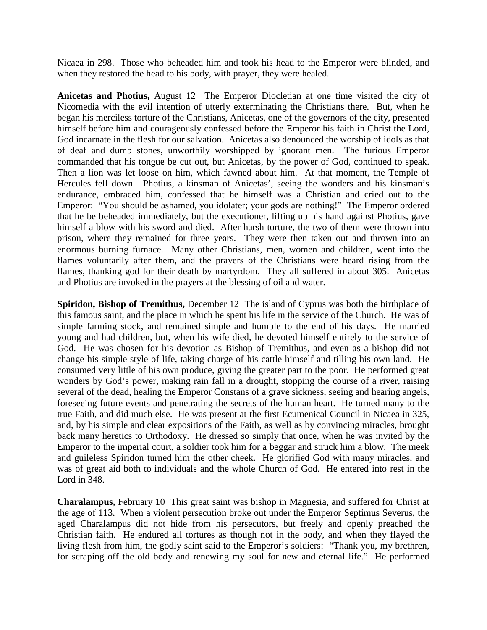Nicaea in 298. Those who beheaded him and took his head to the Emperor were blinded, and when they restored the head to his body, with prayer, they were healed.

**Anicetas and Photius,** August 12 The Emperor Diocletian at one time visited the city of Nicomedia with the evil intention of utterly exterminating the Christians there. But, when he began his merciless torture of the Christians, Anicetas, one of the governors of the city, presented himself before him and courageously confessed before the Emperor his faith in Christ the Lord, God incarnate in the flesh for our salvation. Anicetas also denounced the worship of idols as that of deaf and dumb stones, unworthily worshipped by ignorant men. The furious Emperor commanded that his tongue be cut out, but Anicetas, by the power of God, continued to speak. Then a lion was let loose on him, which fawned about him. At that moment, the Temple of Hercules fell down. Photius, a kinsman of Anicetas', seeing the wonders and his kinsman's endurance, embraced him, confessed that he himself was a Christian and cried out to the Emperor: "You should be ashamed, you idolater; your gods are nothing!" The Emperor ordered that he be beheaded immediately, but the executioner, lifting up his hand against Photius, gave himself a blow with his sword and died. After harsh torture, the two of them were thrown into prison, where they remained for three years. They were then taken out and thrown into an enormous burning furnace. Many other Christians, men, women and children, went into the flames voluntarily after them, and the prayers of the Christians were heard rising from the flames, thanking god for their death by martyrdom. They all suffered in about 305. Anicetas and Photius are invoked in the prayers at the blessing of oil and water.

**Spiridon, Bishop of Tremithus,** December 12 The island of Cyprus was both the birthplace of this famous saint, and the place in which he spent his life in the service of the Church. He was of simple farming stock, and remained simple and humble to the end of his days. He married young and had children, but, when his wife died, he devoted himself entirely to the service of God. He was chosen for his devotion as Bishop of Tremithus, and even as a bishop did not change his simple style of life, taking charge of his cattle himself and tilling his own land. He consumed very little of his own produce, giving the greater part to the poor. He performed great wonders by God's power, making rain fall in a drought, stopping the course of a river, raising several of the dead, healing the Emperor Constans of a grave sickness, seeing and hearing angels, foreseeing future events and penetrating the secrets of the human heart. He turned many to the true Faith, and did much else. He was present at the first Ecumenical Council in Nicaea in 325, and, by his simple and clear expositions of the Faith, as well as by convincing miracles, brought back many heretics to Orthodoxy. He dressed so simply that once, when he was invited by the Emperor to the imperial court, a soldier took him for a beggar and struck him a blow. The meek and guileless Spiridon turned him the other cheek. He glorified God with many miracles, and was of great aid both to individuals and the whole Church of God. He entered into rest in the Lord in 348.

**Charalampus,** February 10 This great saint was bishop in Magnesia, and suffered for Christ at the age of 113. When a violent persecution broke out under the Emperor Septimus Severus, the aged Charalampus did not hide from his persecutors, but freely and openly preached the Christian faith. He endured all tortures as though not in the body, and when they flayed the living flesh from him, the godly saint said to the Emperor's soldiers: "Thank you, my brethren, for scraping off the old body and renewing my soul for new and eternal life." He performed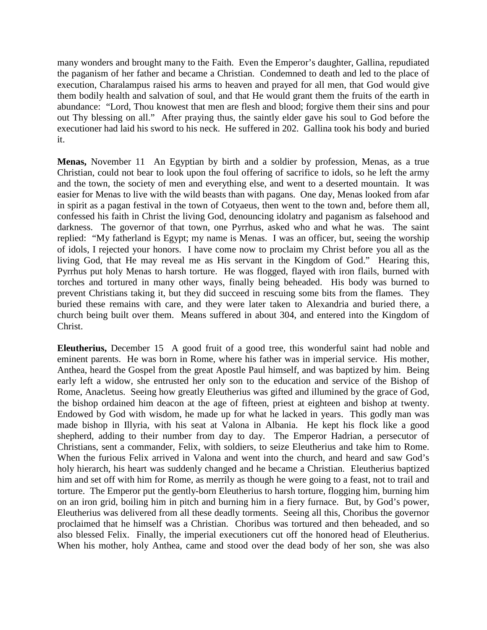many wonders and brought many to the Faith. Even the Emperor's daughter, Gallina, repudiated the paganism of her father and became a Christian. Condemned to death and led to the place of execution, Charalampus raised his arms to heaven and prayed for all men, that God would give them bodily health and salvation of soul, and that He would grant them the fruits of the earth in abundance: "Lord, Thou knowest that men are flesh and blood; forgive them their sins and pour out Thy blessing on all." After praying thus, the saintly elder gave his soul to God before the executioner had laid his sword to his neck. He suffered in 202. Gallina took his body and buried it.

**Menas,** November 11 An Egyptian by birth and a soldier by profession, Menas, as a true Christian, could not bear to look upon the foul offering of sacrifice to idols, so he left the army and the town, the society of men and everything else, and went to a deserted mountain. It was easier for Menas to live with the wild beasts than with pagans. One day, Menas looked from afar in spirit as a pagan festival in the town of Cotyaeus, then went to the town and, before them all, confessed his faith in Christ the living God, denouncing idolatry and paganism as falsehood and darkness. The governor of that town, one Pyrrhus, asked who and what he was. The saint replied: "My fatherland is Egypt; my name is Menas. I was an officer, but, seeing the worship of idols, I rejected your honors. I have come now to proclaim my Christ before you all as the living God, that He may reveal me as His servant in the Kingdom of God." Hearing this, Pyrrhus put holy Menas to harsh torture. He was flogged, flayed with iron flails, burned with torches and tortured in many other ways, finally being beheaded. His body was burned to prevent Christians taking it, but they did succeed in rescuing some bits from the flames. They buried these remains with care, and they were later taken to Alexandria and buried there, a church being built over them. Means suffered in about 304, and entered into the Kingdom of Christ.

**Eleutherius,** December 15 A good fruit of a good tree, this wonderful saint had noble and eminent parents. He was born in Rome, where his father was in imperial service. His mother, Anthea, heard the Gospel from the great Apostle Paul himself, and was baptized by him. Being early left a widow, she entrusted her only son to the education and service of the Bishop of Rome, Anacletus. Seeing how greatly Eleutherius was gifted and illumined by the grace of God, the bishop ordained him deacon at the age of fifteen, priest at eighteen and bishop at twenty. Endowed by God with wisdom, he made up for what he lacked in years. This godly man was made bishop in Illyria, with his seat at Valona in Albania. He kept his flock like a good shepherd, adding to their number from day to day. The Emperor Hadrian, a persecutor of Christians, sent a commander, Felix, with soldiers, to seize Eleutherius and take him to Rome. When the furious Felix arrived in Valona and went into the church, and heard and saw God's holy hierarch, his heart was suddenly changed and he became a Christian. Eleutherius baptized him and set off with him for Rome, as merrily as though he were going to a feast, not to trail and torture. The Emperor put the gently-born Eleutherius to harsh torture, flogging him, burning him on an iron grid, boiling him in pitch and burning him in a fiery furnace. But, by God's power, Eleutherius was delivered from all these deadly torments. Seeing all this, Choribus the governor proclaimed that he himself was a Christian. Choribus was tortured and then beheaded, and so also blessed Felix. Finally, the imperial executioners cut off the honored head of Eleutherius. When his mother, holy Anthea, came and stood over the dead body of her son, she was also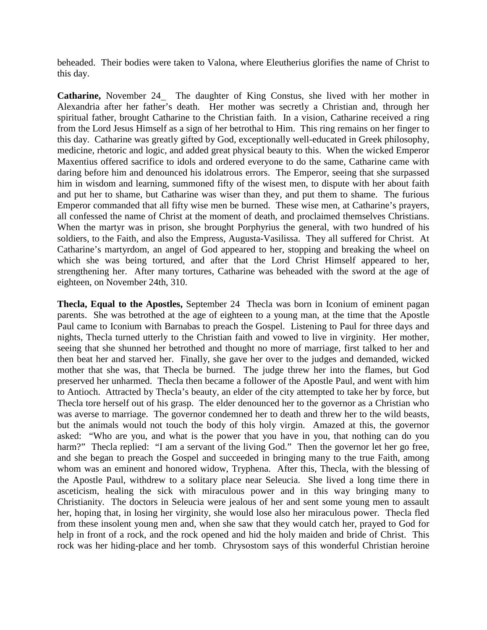beheaded. Their bodies were taken to Valona, where Eleutherius glorifies the name of Christ to this day.

**Catharine,** November 24 The daughter of King Constus, she lived with her mother in Alexandria after her father's death. Her mother was secretly a Christian and, through her spiritual father, brought Catharine to the Christian faith. In a vision, Catharine received a ring from the Lord Jesus Himself as a sign of her betrothal to Him. This ring remains on her finger to this day. Catharine was greatly gifted by God, exceptionally well-educated in Greek philosophy, medicine, rhetoric and logic, and added great physical beauty to this. When the wicked Emperor Maxentius offered sacrifice to idols and ordered everyone to do the same, Catharine came with daring before him and denounced his idolatrous errors. The Emperor, seeing that she surpassed him in wisdom and learning, summoned fifty of the wisest men, to dispute with her about faith and put her to shame, but Catharine was wiser than they, and put them to shame. The furious Emperor commanded that all fifty wise men be burned. These wise men, at Catharine's prayers, all confessed the name of Christ at the moment of death, and proclaimed themselves Christians. When the martyr was in prison, she brought Porphyrius the general, with two hundred of his soldiers, to the Faith, and also the Empress, Augusta-Vasilissa. They all suffered for Christ. At Catharine's martyrdom, an angel of God appeared to her, stopping and breaking the wheel on which she was being tortured, and after that the Lord Christ Himself appeared to her, strengthening her. After many tortures, Catharine was beheaded with the sword at the age of eighteen, on November 24th, 310.

**Thecla, Equal to the Apostles,** September 24 Thecla was born in Iconium of eminent pagan parents. She was betrothed at the age of eighteen to a young man, at the time that the Apostle Paul came to Iconium with Barnabas to preach the Gospel. Listening to Paul for three days and nights, Thecla turned utterly to the Christian faith and vowed to live in virginity. Her mother, seeing that she shunned her betrothed and thought no more of marriage, first talked to her and then beat her and starved her. Finally, she gave her over to the judges and demanded, wicked mother that she was, that Thecla be burned. The judge threw her into the flames, but God preserved her unharmed. Thecla then became a follower of the Apostle Paul, and went with him to Antioch. Attracted by Thecla's beauty, an elder of the city attempted to take her by force, but Thecla tore herself out of his grasp. The elder denounced her to the governor as a Christian who was averse to marriage. The governor condemned her to death and threw her to the wild beasts, but the animals would not touch the body of this holy virgin. Amazed at this, the governor asked: "Who are you, and what is the power that you have in you, that nothing can do you harm?" Thecla replied: "I am a servant of the living God." Then the governor let her go free, and she began to preach the Gospel and succeeded in bringing many to the true Faith, among whom was an eminent and honored widow, Tryphena. After this, Thecla, with the blessing of the Apostle Paul, withdrew to a solitary place near Seleucia. She lived a long time there in asceticism, healing the sick with miraculous power and in this way bringing many to Christianity. The doctors in Seleucia were jealous of her and sent some young men to assault her, hoping that, in losing her virginity, she would lose also her miraculous power. Thecla fled from these insolent young men and, when she saw that they would catch her, prayed to God for help in front of a rock, and the rock opened and hid the holy maiden and bride of Christ. This rock was her hiding-place and her tomb. Chrysostom says of this wonderful Christian heroine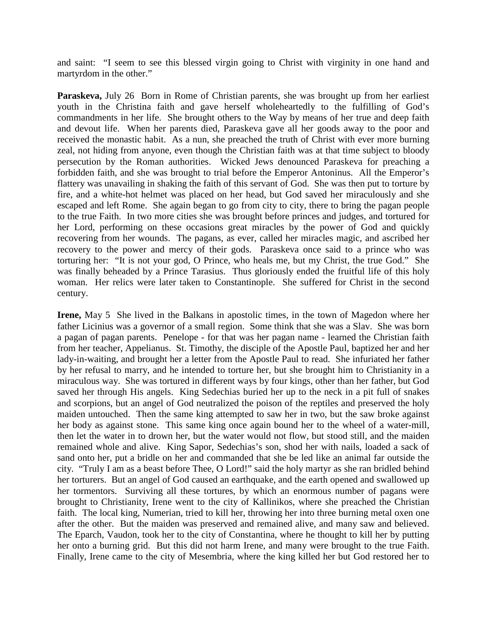and saint: "I seem to see this blessed virgin going to Christ with virginity in one hand and martyrdom in the other."

**Paraskeva,** July 26 Born in Rome of Christian parents, she was brought up from her earliest youth in the Christina faith and gave herself wholeheartedly to the fulfilling of God's commandments in her life. She brought others to the Way by means of her true and deep faith and devout life. When her parents died, Paraskeva gave all her goods away to the poor and received the monastic habit. As a nun, she preached the truth of Christ with ever more burning zeal, not hiding from anyone, even though the Christian faith was at that time subject to bloody persecution by the Roman authorities. Wicked Jews denounced Paraskeva for preaching a forbidden faith, and she was brought to trial before the Emperor Antoninus. All the Emperor's flattery was unavailing in shaking the faith of this servant of God. She was then put to torture by fire, and a white-hot helmet was placed on her head, but God saved her miraculously and she escaped and left Rome. She again began to go from city to city, there to bring the pagan people to the true Faith. In two more cities she was brought before princes and judges, and tortured for her Lord, performing on these occasions great miracles by the power of God and quickly recovering from her wounds. The pagans, as ever, called her miracles magic, and ascribed her recovery to the power and mercy of their gods. Paraskeva once said to a prince who was torturing her: "It is not your god, O Prince, who heals me, but my Christ, the true God." She was finally beheaded by a Prince Tarasius. Thus gloriously ended the fruitful life of this holy woman. Her relics were later taken to Constantinople. She suffered for Christ in the second century.

**Irene,** May 5 She lived in the Balkans in apostolic times, in the town of Magedon where her father Licinius was a governor of a small region. Some think that she was a Slav. She was born a pagan of pagan parents. Penelope - for that was her pagan name - learned the Christian faith from her teacher, Appelianus. St. Timothy, the disciple of the Apostle Paul, baptized her and her lady-in-waiting, and brought her a letter from the Apostle Paul to read. She infuriated her father by her refusal to marry, and he intended to torture her, but she brought him to Christianity in a miraculous way. She was tortured in different ways by four kings, other than her father, but God saved her through His angels. King Sedechias buried her up to the neck in a pit full of snakes and scorpions, but an angel of God neutralized the poison of the reptiles and preserved the holy maiden untouched. Then the same king attempted to saw her in two, but the saw broke against her body as against stone. This same king once again bound her to the wheel of a water-mill, then let the water in to drown her, but the water would not flow, but stood still, and the maiden remained whole and alive. King Sapor, Sedechias's son, shod her with nails, loaded a sack of sand onto her, put a bridle on her and commanded that she be led like an animal far outside the city. "Truly I am as a beast before Thee, O Lord!" said the holy martyr as she ran bridled behind her torturers. But an angel of God caused an earthquake, and the earth opened and swallowed up her tormentors. Surviving all these tortures, by which an enormous number of pagans were brought to Christianity, Irene went to the city of Kallinikos, where she preached the Christian faith. The local king, Numerian, tried to kill her, throwing her into three burning metal oxen one after the other. But the maiden was preserved and remained alive, and many saw and believed. The Eparch, Vaudon, took her to the city of Constantina, where he thought to kill her by putting her onto a burning grid. But this did not harm Irene, and many were brought to the true Faith. Finally, Irene came to the city of Mesembria, where the king killed her but God restored her to